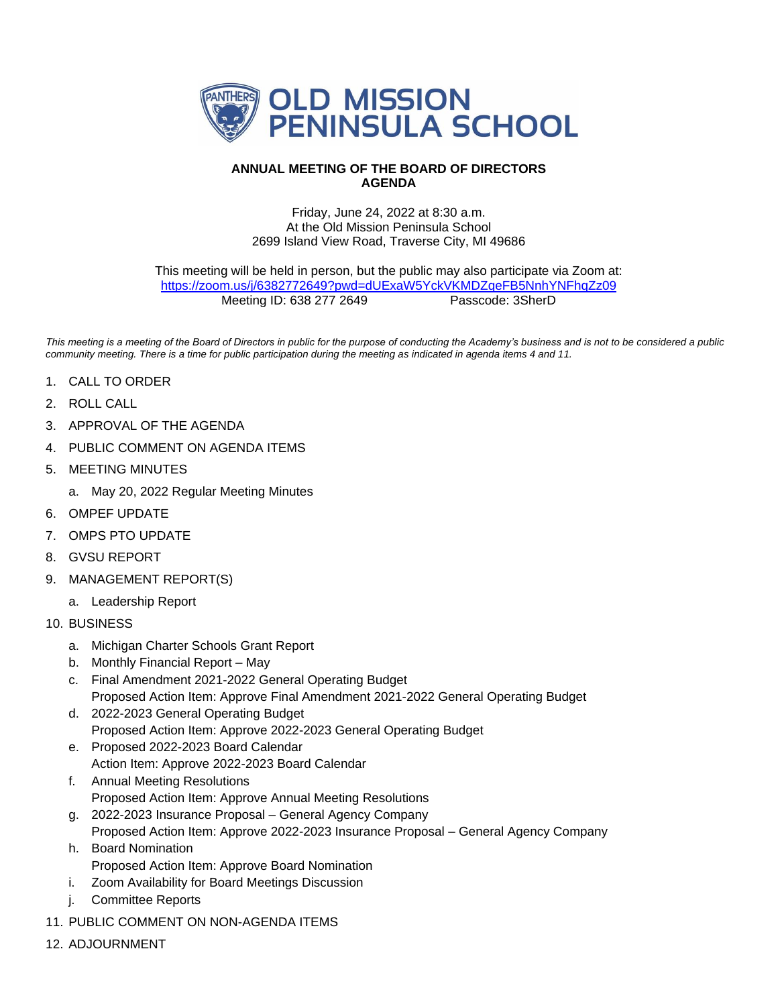

## **ANNUAL MEETING OF THE BOARD OF DIRECTORS AGENDA**

## Friday, June 24, 2022 at 8:30 a.m. At the Old Mission Peninsula School 2699 Island View Road, Traverse City, MI 49686

This meeting will be held in person, but the public may also participate via Zoom at: <https://zoom.us/j/6382772649?pwd=dUExaW5YckVKMDZqeFB5NnhYNFhqZz09> Meeting ID: 638 277 2649 Passcode: 3SherD

*This meeting is a meeting of the Board of Directors in public for the purpose of conducting the Academy's business and is not to be considered a public community meeting. There is a time for public participation during the meeting as indicated in agenda items 4 and 11.*

- 1. CALL TO ORDER
- 2. ROLL CALL
- 3. APPROVAL OF THE AGENDA
- 4. PUBLIC COMMENT ON AGENDA ITEMS
- 5. MEETING MINUTES
	- a. May 20, 2022 Regular Meeting Minutes
- 6. OMPEF UPDATE
- 7. OMPS PTO UPDATE
- 8. GVSU REPORT
- 9. MANAGEMENT REPORT(S)
	- a. Leadership Report
- 10. BUSINESS
	- a. Michigan Charter Schools Grant Report
	- b. Monthly Financial Report May
	- c. Final Amendment 2021-2022 General Operating Budget Proposed Action Item: Approve Final Amendment 2021-2022 General Operating Budget
	- d. 2022-2023 General Operating Budget Proposed Action Item: Approve 2022-2023 General Operating Budget
	- e. Proposed 2022-2023 Board Calendar Action Item: Approve 2022-2023 Board Calendar
	- f. Annual Meeting Resolutions Proposed Action Item: Approve Annual Meeting Resolutions
	- g. 2022-2023 Insurance Proposal General Agency Company
	- Proposed Action Item: Approve 2022-2023 Insurance Proposal General Agency Company h. Board Nomination
		- Proposed Action Item: Approve Board Nomination
	- i. Zoom Availability for Board Meetings Discussion
	- j. Committee Reports
- 11. PUBLIC COMMENT ON NON-AGENDA ITEMS
- 12. ADJOURNMENT